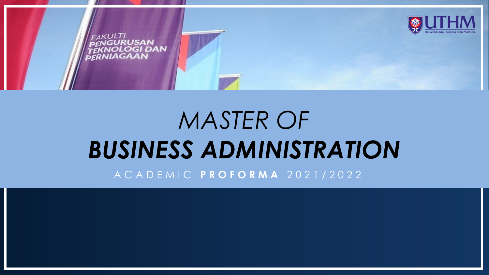

# *MASTER OF BUSINESS ADMINISTRATION*

A C A D E M I C **P R O F O R M A** 2 0 2 1 / 2 0 2 2

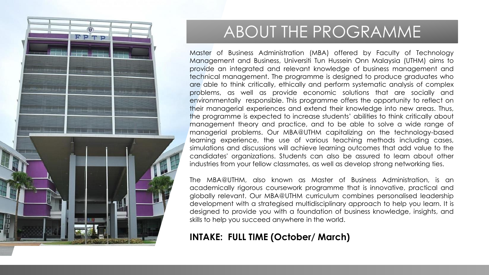

### ABOUT THE PROGRAMME

Master of Business Administration (MBA) offered by Faculty of Technology Management and Business, Universiti Tun Hussein Onn Malaysia (UTHM) aims to provide an integrated and relevant knowledge of business management and technical management. The programme is designed to produce graduates who are able to think critically, ethically and perform systematic analysis of complex problems, as well as provide economic solutions that are socially and environmentally responsible. This programme offers the opportunity to reflect on their managerial experiences and extend their knowledge into new areas. Thus, the programme is expected to increase students' abilities to think critically about management theory and practice, and to be able to solve a wide range of managerial problems. Our MBA@UTHM capitalizing on the technology-based learning experience, the use of various teaching methods including cases, simulations and discussions will achieve learning outcomes that add value to the candidates' organizations. Students can also be assured to learn about other industries from your fellow classmates, as well as develop strong networking ties.

The MBA@UTHM, also known as Master of Business Administration, is an academically rigorous coursework programme that is innovative, practical and globally relevant. Our MBA@UTHM curriculum combines personalised leadership development with a strategised multidisciplinary approach to help you learn. It is designed to provide you with a foundation of business knowledge, insights, and skills to help you succeed anywhere in the world.

### **INTAKE: FULL TIME (October/ March)**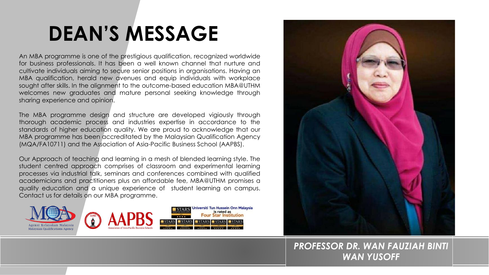### **DEAN'S MESSAGE**

An MBA programme is one of the prestigious qualification, recognized worldwide for business professionals. It has been a well known channel that nurture and cultivate individuals aiming to secure senior positions in organisations. Having an MBA qualification, herald new avenues and equip individuals with workplace sought after skills. In the alignment to the outcome-based education MBA@UTHM welcomes new graduates and mature personal seeking knowledge through sharing experience and opinion.

The MBA programme design and structure are developed vigiously through thorough academic process and industries expertise in accordance to the standards of higher education quality. We are proud to acknowledge that our MBA programme has been accreditated by the Malaysian Qualification Agency (MQA/FA10711) and the Association of Asia-Pacific Business School (AAPBS).

Our Approach of teaching and learning in a mesh of blended learning style. The student centred approach comprises of classroom and experimental learning processes via industrial talk, seminars and conferences combined with qualified academicians and practitioners plus an affordable fee, MBA@UTHM promises a quality education and a unique experience of student learning on campus. Contact us for details on our MBA programme.





### *PROFESSOR DR. WAN FAUZIAH BINTI WAN YUSOFF*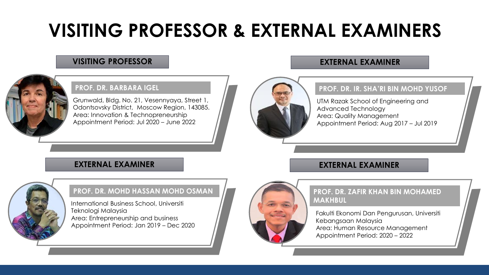### **VISITING PROFESSOR & EXTERNAL EXAMINERS**

### **VISITING PROFESSOR EXTERNAL EXAMINER**



### **PROF. DR. BARBARA IGEL**

Grunwald, Bldg. No. 21, Vesennyaya, Street 1, Odontsovsky District, Moscow Region, 143085. Area: Innovation & Technopreneurship Appointment Period: Jul 2020 – June 2022

### **PROF. DR. IR. SHA'RI BIN MOHD YUSOF**

UTM Razak School of Engineering and Advanced Technology Area: Quality Management Appointment Period: Aug 2017 – Jul 2019

### **EXTERNAL EXAMINER**



### **PROF. DR. MOHD HASSAN MOHD OSMAN**

International Business School, Universiti Teknologi Malaysia Area: Entrepreneurship and business Appointment Period: Jan 2019 – Dec 2020



### **PROF. DR. ZAFIR KHAN BIN MOHAMED MAKHBUL**

**EXTERNAL EXAMINER**

Fakulti Ekonomi Dan Pengurusan, Universiti Kebangsaan Malaysia Area: Human Resource Management Appointment Period: 2020 – 2022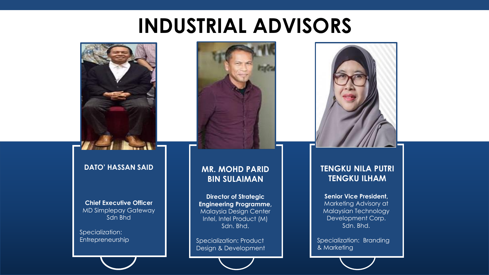### **INDUSTRIAL ADVISORS**



### **DATO' HASSAN SAID**

**Chief Executive Officer**  MD Simplepay Gateway Sdn Bhd

Specialization: **Entrepreneurship** 

### **MR. MOHD PARID BIN SULAIMAN**

**Director of Strategic Engineering Programme,** Malaysia Design Center Intel, Intel Product (M) Sdn. Bhd.

Specialization: Product Design & Development



### **TENGKU NILA PUTRI TENGKU ILHAM**

**Senior Vice President,**  Marketing Advisory at Malaysian Technology Development Corp. Sdn. Bhd.

Specialization: Branding & Marketing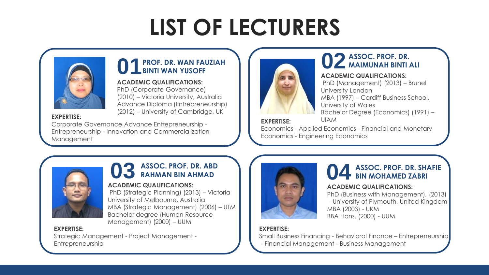

### **01PROF. DR. WAN FAUZIAH BINTI WAN YUSOFF**

### **ACADEMIC QUALIFICATIONS:**

PhD (Corporate Governance) (2010) – Victoria University, Australia Advance Diploma (Entrepreneurship) (2012) – University of Cambridge, UK

#### **EXPERTISE:**

Corporate Governance Advance Entrepreneurship - Entrepreneurship - Innovation and Commercialization Management



### **02 ASSOC. PROF. DR. MAIMUNAH BINTI ALI**

### **ACADEMIC QUALIFICATIONS:**

PhD (Management) (2013) – Brunel University London MBA (1997) – Cardiff Business School, University of Wales Bachelor Degree (Economics) (1991) –

**EXPERTISE:** UIAM

Economics - Applied Economics - Financial and Monetary Economics - Engineering Economics



### **03 ASSOC. PROF. DR. ABD RAHMAN BIN AHMAD**

### **ACADEMIC QUALIFICATIONS:**

PhD (Strategic Planning) (2013) – Victoria University of Melbourne, Australia MBA (Strategic Management) (2006) – UTM Bachelor degree (Human Resource Management) (2000) – UUM

#### **EXPERTISE:**

Strategic Management - Project Management - Entrepreneurship



### **04 ASSOC. PROF. DR. SHAFIE BIN MOHAMED ZABRI**

### **ACADEMIC QUALIFICATIONS:**

PhD (Business with Management), (2013) - University of Plymouth, United Kingdom MBA (2003) - UKM BBA Hons. (2000) - UUM

### **EXPERTISE:**

Small Business Financing - Behavioral Finance – Entrepreneurship - Financial Management - Business Management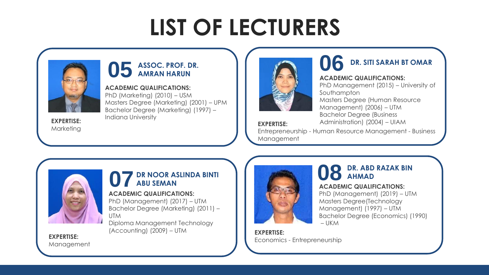

### **05 ASSOC. PROF. DR. AMRAN HARUN**

**ACADEMIC QUALIFICATIONS:** PhD (Marketing) (2010) – USM Masters Degree (Marketing) (2001) – UPM Bachelor Degree (Marketing) (1997) – Indiana University **EXPERTISE:** 

Marketing



### **06 DR. SITI SARAH BT OMAR**

#### **ACADEMIC QUALIFICATIONS:**

PhD Management (2015) – University of Southampton Masters Degree (Human Resource Management) (2006) – UTM Bachelor Degree (Business **EXPERTISE:** Administration) (2004) – UIAM

Entrepreneurship - Human Resource Management - Business Management



### **07 DR NOOR ASLINDA BINTI ABU SEMAN**

### **ACADEMIC QUALIFICATIONS:**

PhD (Management) (2017) – UTM Bachelor Degree (Marketing) (2011) – **UTM** 

Diploma Management Technology (Accounting) (2009) – UTM



### **08 DR. ABD RAZAK BIN AHMAD**

### **ACADEMIC QUALIFICATIONS:**

PhD (Management) (2019) – UTM Masters Degree(Technology Management) (1997) – UTM Bachelor Degree (Economics) (1990) – UKM

**EXPERTISE:**  Economics - Entrepreneurship

**EXPERTISE:**  Management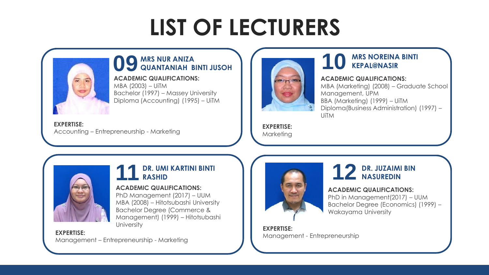

### **09 MRS NUR ANIZA QUANTANIAH BINTI JUSOH**

**ACADEMIC QUALIFICATIONS:** MBA (2003) – UiTM Bachelor (1997) – Massey University Diploma (Accounting) (1995) – UiTM

**EXPERTISE:**  Accounting – Entrepreneurship - Marketing



### **10 MRS NOREINA BINTI KEPAL@NASIR**

#### **ACADEMIC QUALIFICATIONS:**

MBA (Marketing) (2008) – Graduate School Management, UPM BBA (Marketing) (1999) – UiTM Diploma(Business Administration) (1997) – UiTM

**EXPERTISE:**  Marketing



### **11 DR. UMI KARTINI BINTI RASHID**

### **ACADEMIC QUALIFICATIONS:**

PhD Management (2017) – UUM MBA (2008) – Hitotsubashi University Bachelor Degree (Commerce & Management) (1999) – Hitotsubashi **University** 

#### **EXPERTISE:**

Management – Entrepreneurship - Marketing



### **12 DR. JUZAIMI BIN NASUREDIN**

### **ACADEMIC QUALIFICATIONS:**

PhD in Management(2017) – UUM Bachelor Degree (Economics) (1999) – Wakayama University

**EXPERTISE:**  Management - Entrepreneurship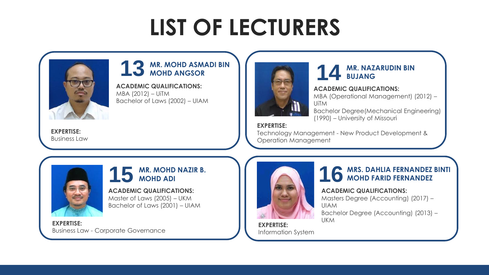

### **13 MR. MOHD ASMADI BIN MOHD ANGSOR**

**ACADEMIC QUALIFICATIONS:** MBA (2012) – UiTM Bachelor of Laws (2002) – UIAM



### **14 MR. NAZARUDIN BIN BUJANG**

#### **ACADEMIC QUALIFICATIONS:**

MBA (Operational Management) (2012) – UiTM Bachelor Degree(Mechanical Engineering) (1990) – University of Missouri

**EXPERTISE:** 

Technology Management - New Product Development & Operation Management



### **15 MR. MOHD NAZIR B. MOHD ADI**

**ACADEMIC QUALIFICATIONS:** Master of Laws (2005) – UKM Bachelor of Laws (2001) – UIAM

**EXPERTISE:**  Business Law - Corporate Governance



### **16 MRS. DAHLIA FERNANDEZ BINTI MOHD FARID FERNANDEZ**

### **ACADEMIC QUALIFICATIONS:**

Masters Degree (Accounting) (2017) – UIAM

Bachelor Degree (Accounting) (2013) – UKM

**EXPERTISE:**  Information System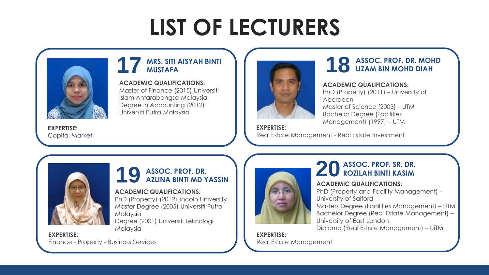

### **17 MRS. SITI AISYAH BINTI MUSTAFA**

**ACADEMIC QUALIFICATIONS:**

Master of Finance (2015) Universiti Islam Antarabangsa Malaysia Degree in Accounting (2012) Universiti Putra Malaysia



### **18 ASSOC. PROF. DR. MOHD LIZAM BIN MOHD DIAH**

#### **ACADEMIC QUALIFICATIONS:**

PhD (Property) (2011) – University of Aberdeen Master of Science (2003) – UTM Bachelor Degree (Facilities Management) (1997) – UTM

**EXPERTISE:**  Capital Market

**EXPERTISE:**  Real Estate Management - Real Estate Investment



### **19 ASSOC. PROF. DR. AZLINA BINTI MD YASSIN**

### **ACADEMIC QUALIFICATIONS:**

PhD (Property) (2012)Lincoln University Master Degree (2005) Universiti Putra Malaysia

Degree (2001) Universiti Teknologi Malaysia

**EXPERTISE:**  Finance - Property - Business Services



### **20 ASSOC. PROF. SR. DR. ROZILAH BINTI KASIM**

### **ACADEMIC QUALIFICATIONS:**

PhD (Property and Facility Management) – University of Salford

Masters Degree (Facilities Management) – UTM Bachelor Degree (Real Estate Management) – University of East London Diploma (Real Estate Management) – UiTM

**EXPERTISE:**  Real Estate Management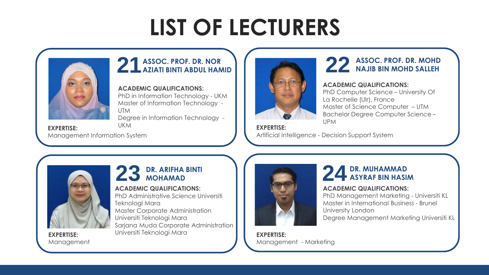

### **21ASSOC. PROF. DR. NOR AZIATI BINTI ABDUL HAMID**

### **ACADEMIC QUALIFICATIONS:**

PhD in Information Technology - UKM Master of Information Technology - UTM

Degree in Information Technology -

UKM **EXPERTISE:**  Management Information System



### **22 ASSOC. PROF. DR. MOHD NAJIB BIN MOHD SALLEH**

### **ACADEMIC QUALIFICATIONS:**

PhD Computer Science – University Of La Rochelle (Ulr), France Master of Science Computer – UTM Bachelor Degree Computer Science – UPM

**EXPERTISE:**  Artificial Intelligence - Decision Support System



Management

**23 DR. ARIFHA BINTI MOHAMAD**

#### **ACADEMIC QUALIFICATIONS:**

PhD Administrative Science Universiti Teknologi Mara Master Corporate Administration Universiti Teknologi Mara Sarjana Muda Corporate Administration Universiti Teknologi Mara **EXPERTISE:** 



### **24 DR. MUHAMMAD ASYRAF BIN HASIM**

### **ACADEMIC QUALIFICATIONS:**

PhD Management Marketing - Universiti KL Master in International Business - Brunel University London Degree Management Marketing Universiti KL

**EXPERTISE:**  Management - Marketing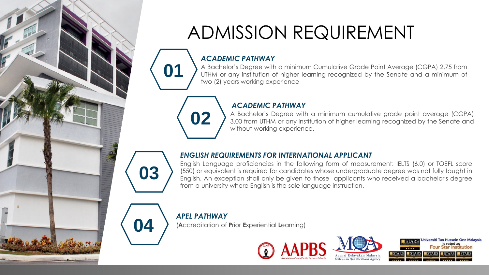

### ADMISSION REQUIREMENT

### *ACADEMIC PATHWAY*

**01** A Bachelor's Degree with a minimum Cumulative Grade Point Average (CGPA) 2.75 from<br>UTHM or any institution of higher learning recognized by the Senate and a minimum of UTHM or any institution of higher learning recognized by the Senate and a minimum of two (2) years working experience

### *ACADEMIC PATHWAY*

**02** A Bachelor's Degree with a minimum cumulative grade point average (CGPA)<br>3.00 from UTHM or any institution of higher learning recognized by the Senate and without working experience.

### *ENGLISH REQUIREMENTS FOR INTERNATIONAL APPLICANT*

English Language proficiencies in the following form of measurement: IELTS (6.0) or TOEFL score (550) or equivalent is required for candidates whose undergraduate degree was not fully taught in English. An exception shall only be given to those applicants who received a bachelor's degree from a university where English is the sole language instruction.

### *APEL PATHWAY*

**03**

**04** (**A**ccreditation of **<sup>P</sup>**rior **<sup>E</sup>**xperiential **<sup>L</sup>**earning)





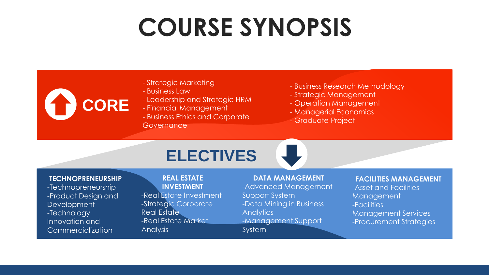- Strategic Marketing
- Business Law
- Leadership and Strategic HRM
- Financial Management
- Business Ethics and Corporate Governance
- Business Research Methodology
- Strategic Management
- Operation Management
- Managerial Economics
- Graduate Project

### **ELECTIVES**

### **TECHNOPRENEURSHIP**

**CORE**

-Technopreneurship -Product Design and **Development** -Technology Innovation and Commercialization

**REAL ESTATE INVESTMENT** -Real Estate Investment -Strategic Corporate Real Estate -Real Estate Market Analysis

#### **DATA MANAGEMENT**

-Advanced Management Support System -Data Mining in Business **Analytics** -Management Support System

#### **FACILITIES MANAGEMENT**

-Asset and Facilities Management -Facilities Management Services -Procurement Strategies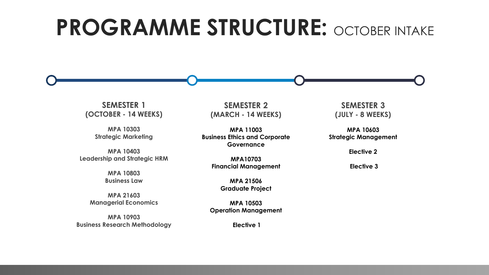## **PROGRAMME STRUCTURE: OCTOBER INTAKE**

**SEMESTER 1 (OCTOBER - 14 WEEKS)**

> **MPA 10303 Strategic Marketing**

**MPA 10403 Leadership and Strategic HRM** 

> **MPA 10803 Business Law**

**MPA 21603 Managerial Economics** 

**MPA 10903 Business Research Methodology**

**SEMESTER 2 (MARCH - 14 WEEKS)**

**MPA 11003 Business Ethics and Corporate Governance**

> **MPA10703 Financial Management**

> > **MPA 21506 Graduate Project**

**MPA 10503 Operation Management** 

**Elective 1**

**SEMESTER 3 (JULY - 8 WEEKS)**

**MPA 10603 Strategic Management** 

**Elective 2**

**Elective 3**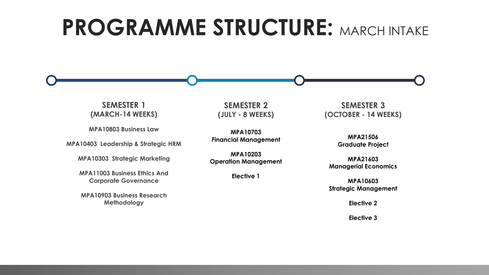### **PROGRAMME STRUCTURE: MARCH INTAKE**

**SEMESTER 1 (MARCH-14 WEEKS)**

**MPA10803 Business Law**

**MPA10403 Leadership & Strategic HRM**

**MPA10303 Strategic Marketing**

**MPA11003 Business Ethics And Corporate Governance**

**MPA10903 Business Research Methodology**

**SEMESTER 2 (JULY - 8 WEEKS)**

**MPA10703 Financial Management**

**MPA10203 Operation Management**

**Elective 1**

**SEMESTER 3 (OCTOBER - 14 WEEKS)**

> **MPA21506 Graduate Project**

**MPA21603 Managerial Economics**

**MPA10603 Strategic Management**

**Elective 2**

**Elective 3**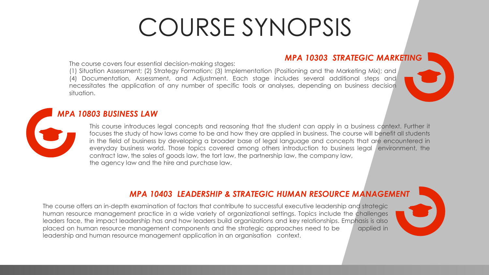### *MPA 10303 STRATEGIC MARKETING*

The course covers four essential decision-making stages:

(1) Situation Assessment; (2) Strategy Formation; (3) Implementation (Positioning and the Marketing Mix); and (4) Documentation, Assessment, and Adjustment. Each stage includes several additional steps and necessitates the application of any number of specific tools or analyses, depending on business decision situation.

### *MPA 10803 BUSINESS LAW*

This course introduces legal concepts and reasoning that the student can apply in a business context. Further it focuses the study of how laws come to be and how they are applied in business. The course will benefit all students in the field of business by developing a broader base of legal language and concepts that are encountered in everyday business world. Those topics covered among others introduction to business legal environment, the contract law, the sales of goods law, the tort law, the partnership law, the company law, the agency law and the hire and purchase law.

### *MPA 10403 LEADERSHIP & STRATEGIC HUMAN RESOURCE MANAGEMENT*

The course offers an in-depth examination of factors that contribute to successful executive leadership and strategic human resource management practice in a wide variety of organizational settings. Topics include the challenges leaders face, the impact leadership has and how leaders build organizations and key relationships. Emphasis is also placed on human resource management components and the strategic approaches need to be applied in leadership and human resource management application in an organisation context.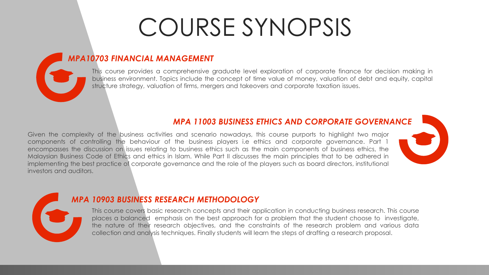### *MPA10703 FINANCIAL MANAGEMENT*

This course provides a comprehensive graduate level exploration of corporate finance for decision making in business environment. Topics include the concept of time value of money, valuation of debt and equity, capital structure strategy, valuation of firms, mergers and takeovers and corporate taxation issues.

### *MPA 11003 BUSINESS ETHICS AND CORPORATE GOVERNANCE*

Given the complexity of the business activities and scenario nowadays, this course purports to highlight two major components of controlling the behaviour of the business players i.e ethics and corporate governance. Part 1 encompasses the discussion on issues relating to business ethics such as the main components of business ethics, the Malaysian Business Code of Ethics and ethics in Islam. While Part II discusses the main principles that to be adhered in implementing the best practice of corporate governance and the role of the players such as board directors, institutional investors and auditors.



### *MPA 10903 BUSINESS RESEARCH METHODOLOGY*

This course covers basic research concepts and their application in conducting business research. This course places a balanced emphasis on the best approach for a problem that the student choose to investigate, the nature of their research objectives, and the constraints of the research problem and various data collection and analysis techniques. Finally students will learn the steps of drafting a research proposal.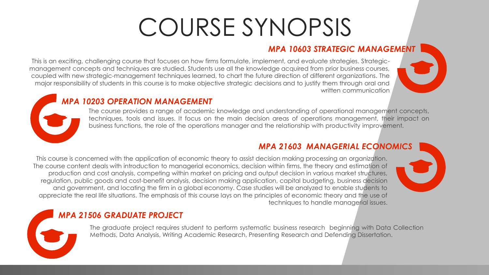### *MPA 10603 STRATEGIC MANAGEMENT*

This is an exciting, challenging course that focuses on how firms formulate, implement, and evaluate strategies. Strategicmanagement concepts and techniques are studied. Students use all the knowledge acquired from prior business courses, coupled with new strategic-management techniques learned, to chart the future direction of different organizations. The major responsibility of students in this course is to make objective strategic decisions and to justify them through oral and written communication

### *MPA 10203 OPERATION MANAGEMENT*

The course provides a range of academic knowledge and understanding of operational management concepts, techniques, tools and issues. It focus on the main decision areas of operations management, their impact on business functions, the role of the operations manager and the relationship with productivity improvement.

### *MPA 21603 MANAGERIAL ECONOMICS*

This course is concerned with the application of economic theory to assist decision making processing an organization. The course content deals with introduction to managerial economics, decision within firms, the theory and estimation of production and cost analysis, competing within market on pricing and output decision in various market structures, regulation, public goods and cost-benefit analysis, decision making application, capital budgeting, business decision and government, and locating the firm in a global economy. Case studies will be analyzed to enable students to appreciate the real life situations. The emphasis of this course lays on the principles of economic theory and the use of techniques to handle managerial issues.

### *MPA 21506 GRADUATE PROJECT*

The graduate project requires student to perform systematic business research beginning with Data Collection Methods, Data Analysis, Writing Academic Research, Presenting Research and Defending Dissertation.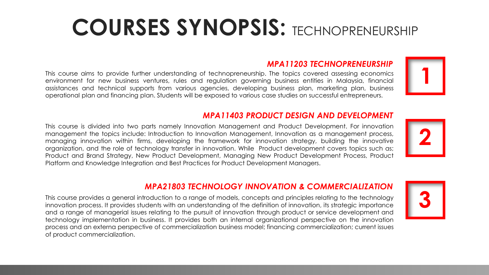## **COURSES SYNOPSIS:** TECHNOPRENEURSHIP

### *MPA11203 TECHNOPRENEURSHIP*

This course aims to provide further understanding of technopreneurship. The topics covered assessing economics environment for new business ventures, rules and regulation governing business entities in Malaysia, financial assistances and technical supports from various agencies, developing business plan, marketing plan, business operational plan and financing plan. Students will be exposed to various case studies on successful entrepreneurs.

### *MPA11403 PRODUCT DESIGN AND DEVELOPMENT*

This course is divided into two parts namely Innovation Management and Product Development. For innovation management the topics include: Introduction to Innovation Management, Innovation as a management process, managing innovation within firms, developing the framework for innovation strategy, building the innovative organization, and the role of technology transfer in innovation. While Product development covers topics such as; Product and Brand Strategy, New Product Development, Managing New Product Development Process, Product Platform and Knowledge Integration and Best Practices for Product Development Managers.

### *MPA21803 TECHNOLOGY INNOVATION & COMMERCIALIZATION*

This course provides a general introduction to a range of models, concepts and principles relating to the technology innovation process. It provides students with an understanding of the definition of innovation, its strategic importance and a range of managerial issues relating to the pursuit of innovation through product or service development and technology implementation in business. It provides both an internal organizational perspective on the innovation process and an externa perspective of commercialization business model; financing commercialization; current issues of product commercialization.







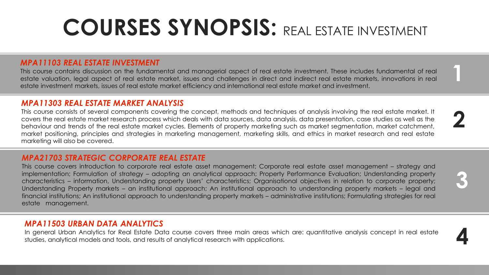## **COURSES SYNOPSIS:** REAL ESTATE INVESTMENT

**1**

**2**

**3**

**4**

### *MPA11103 REAL ESTATE INVESTMENT*

This course contains discussion on the fundamental and managerial aspect of real estate investment. These includes fundamental of real estate valuation, legal aspect of real estate market, issues and challenges in direct and indirect real estate markets, innovations in real estate investment markets, issues of real estate market efficiency and international real estate market and investment.

### *MPA11303 REAL ESTATE MARKET ANALYSIS*

This course consists of several components covering the concept, methods and techniques of analysis involving the real estate market. It covers the real estate market research process which deals with data sources, data analysis, data presentation, case studies as well as the behaviour and trends of the real estate market cycles. Elements of property marketing such as market segmentation, market catchment, market positioning, principles and strategies in marketing management, marketing skills, and ethics in market research and real estate marketing will also be covered.

### *MPA21703 STRATEGIC CORPORATE REAL ESTATE*

This course covers introduction to corporate real estate asset management; Corporate real estate asset management – strategy and implementation; Formulation of strategy – adopting an analytical approach; Property Performance Evaluation; Understanding property characteristics – information, Understanding property Users' characteristics; Organisational objectives in relation to corporate property; Understanding Property markets – an institutional approach; An institutional approach to understanding property markets – legal and financial institutions; An institutional approach to understanding property markets – administrative institutions; Formulating strategies for real estate management.

### *MPA11503 URBAN DATA ANALYTICS*

In general Urban Analytics for Real Estate Data course covers three main areas which are: quantitative analysis concept in real estate studies, analytical models and tools, and results of analytical research with applications.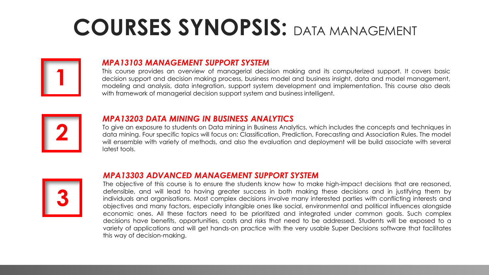## **COURSES SYNOPSIS:** DATA MANAGEMENT



### *MPA13103 MANAGEMENT SUPPORT SYSTEM*

This course provides an overview of managerial decision making and its computerized support. It covers basic decision support and decision making process, business model and business insight, data and model management, modeling and analysis, data integration, support system development and implementation. This course also deals with framework of managerial decision support system and business intelligent.



### *MPA13203 DATA MINING IN BUSINESS ANALYTICS*

To give an exposure to students on Data mining in Business Analytics, which includes the concepts and techniques in data mining. Four specific topics will focus on: Classification, Prediction, Forecasting and Association Rules. The model will ensemble with variety of methods, and also the evaluation and deployment will be build associate with several latest tools.



### *MPA13303 ADVANCED MANAGEMENT SUPPORT SYSTEM*

The objective of this course is to ensure the students know how to make high-impact decisions that are reasoned, defensible, and will lead to having greater success in both making these decisions and in justifying them by individuals and organisations. Most complex decisions involve many interested parties with conflicting interests and objectives and many factors, especially intangible ones like social, environmental and political influences alongside economic ones. All these factors need to be prioritized and integrated under common goals. Such complex decisions have benefits, opportunities, costs and risks that need to be addressed. Students will be exposed to a variety of applications and will get hands-on practice with the very usable Super Decisions software that facilitates this way of decision-making.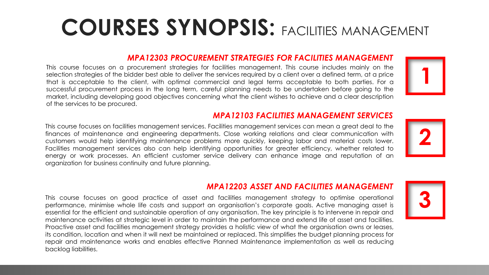## **COURSES SYNOPSIS:** FACILITIES MANAGEMENT

### *MPA12303 PROCUREMENT STRATEGIES FOR FACILITIES MANAGEMENT*

This course focuses on a procurement strategies for facilities management. This course includes mainly on the selection strategies of the bidder best able to deliver the services required by a client over a defined term, at a price that is acceptable to the client, with optimal commercial and legal terms acceptable to both parties. For a successful procurement process in the long term, careful planning needs to be undertaken before going to the market, including developing good objectives concerning what the client wishes to achieve and a clear description of the services to be procured.



### *MPA12103 FACILITIES MANAGEMENT SERVICES*

This course focuses on facilities management services. Facilities management services can mean a great deal to the finances of maintenance and engineering departments. Close working relations and clear communication with customers would help identifying maintenance problems more quickly, keeping labor and material costs lower. Facilities management services also can help identifying opportunities for greater efficiency, whether related to energy or work processes. An efficient customer service delivery can enhance image and reputation of an organization for business continuity and future planning.



### *MPA12203 ASSET AND FACILITIES MANAGEMENT*

This course focuses on good practice of asset and facilities management strategy to optimise operational performance, minimise whole life costs and support an organisation's corporate goals. Active managing asset is essential for the efficient and sustainable operation of any organisation. The key principle is to intervene in repair and maintenance activities at strategic level in order to maintain the performance and extend life of asset and facilities. Proactive asset and facilities management strategy provides a holistic view of what the organisation owns or leases, its condition, location and when it will next be maintained or replaced. This simplifies the budget planning process for repair and maintenance works and enables effective Planned Maintenance implementation as well as reducing backlog liabilities.